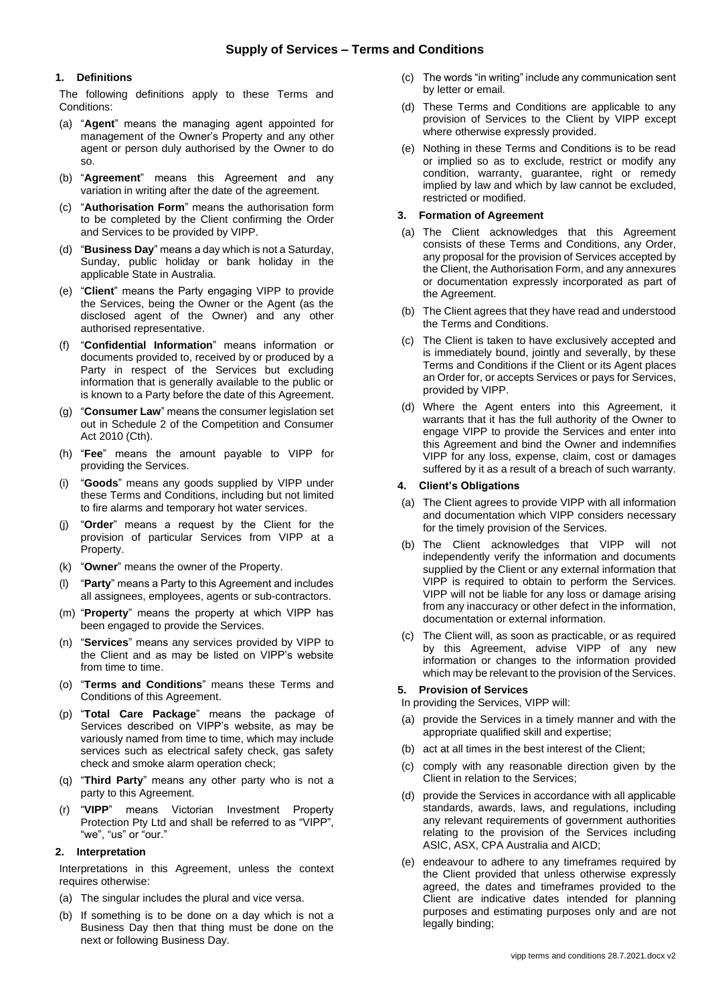## **1. Definitions**

The following definitions apply to these Terms and Conditions:

- (a) "**Agent**" means the managing agent appointed for management of the Owner's Property and any other agent or person duly authorised by the Owner to do so.
- (b) "**Agreement**" means this Agreement and any variation in writing after the date of the agreement.
- (c) "**Authorisation Form**" means the authorisation form to be completed by the Client confirming the Order and Services to be provided by VIPP.
- (d) "**Business Day**" means a day which is not a Saturday, Sunday, public holiday or bank holiday in the applicable State in Australia.
- (e) "**Client**" means the Party engaging VIPP to provide the Services, being the Owner or the Agent (as the disclosed agent of the Owner) and any other authorised representative.
- (f) "**Confidential Information**" means information or documents provided to, received by or produced by a Party in respect of the Services but excluding information that is generally available to the public or is known to a Party before the date of this Agreement.
- (g) "**Consumer Law**" means the consumer legislation set out in Schedule 2 of the Competition and Consumer Act 2010 (Cth).
- (h) "**Fee**" means the amount payable to VIPP for providing the Services.
- (i) "**Goods**" means any goods supplied by VIPP under these Terms and Conditions, including but not limited to fire alarms and temporary hot water services.
- "Order" means a request by the Client for the provision of particular Services from VIPP at a Property.
- (k) "**Owner**" means the owner of the Property.
- "Party" means a Party to this Agreement and includes all assignees, employees, agents or sub-contractors.
- (m) "**Property**" means the property at which VIPP has been engaged to provide the Services.
- (n) "**Services**" means any services provided by VIPP to the Client and as may be listed on VIPP's website from time to time.
- (o) "**Terms and Conditions**" means these Terms and Conditions of this Agreement.
- (p) "**Total Care Package**" means the package of Services described on VIPP's website, as may be variously named from time to time, which may include services such as electrical safety check, gas safety check and smoke alarm operation check;
- (q) "**Third Party**" means any other party who is not a party to this Agreement.
- (r) "**VIPP**" means Victorian Investment Property Protection Pty Ltd and shall be referred to as "VIPP", "we", "us" or "our."

### **2. Interpretation**

Interpretations in this Agreement, unless the context requires otherwise:

- (a) The singular includes the plural and vice versa.
- (b) If something is to be done on a day which is not a Business Day then that thing must be done on the next or following Business Day.
- (c) The words "in writing" include any communication sent by letter or email.
- (d) These Terms and Conditions are applicable to any provision of Services to the Client by VIPP except where otherwise expressly provided.
- (e) Nothing in these Terms and Conditions is to be read or implied so as to exclude, restrict or modify any condition, warranty, guarantee, right or remedy implied by law and which by law cannot be excluded, restricted or modified.

### **3. Formation of Agreement**

- (a) The Client acknowledges that this Agreement consists of these Terms and Conditions, any Order, any proposal for the provision of Services accepted by the Client, the Authorisation Form, and any annexures or documentation expressly incorporated as part of the Agreement.
- (b) The Client agrees that they have read and understood the Terms and Conditions.
- (c) The Client is taken to have exclusively accepted and is immediately bound, jointly and severally, by these Terms and Conditions if the Client or its Agent places an Order for, or accepts Services or pays for Services, provided by VIPP.
- (d) Where the Agent enters into this Agreement, it warrants that it has the full authority of the Owner to engage VIPP to provide the Services and enter into this Agreement and bind the Owner and indemnifies VIPP for any loss, expense, claim, cost or damages suffered by it as a result of a breach of such warranty.

# **4. Client's Obligations**

- (a) The Client agrees to provide VIPP with all information and documentation which VIPP considers necessary for the timely provision of the Services.
- (b) The Client acknowledges that VIPP will not independently verify the information and documents supplied by the Client or any external information that VIPP is required to obtain to perform the Services. VIPP will not be liable for any loss or damage arising from any inaccuracy or other defect in the information, documentation or external information.
- (c) The Client will, as soon as practicable, or as required by this Agreement, advise VIPP of any new information or changes to the information provided which may be relevant to the provision of the Services.

# **5. Provision of Services**

In providing the Services, VIPP will:

- (a) provide the Services in a timely manner and with the appropriate qualified skill and expertise;
- (b) act at all times in the best interest of the Client;
- (c) comply with any reasonable direction given by the Client in relation to the Services;
- (d) provide the Services in accordance with all applicable standards, awards, laws, and regulations, including any relevant requirements of government authorities relating to the provision of the Services including ASIC, ASX, CPA Australia and AICD;
- (e) endeavour to adhere to any timeframes required by the Client provided that unless otherwise expressly agreed, the dates and timeframes provided to the Client are indicative dates intended for planning purposes and estimating purposes only and are not legally binding;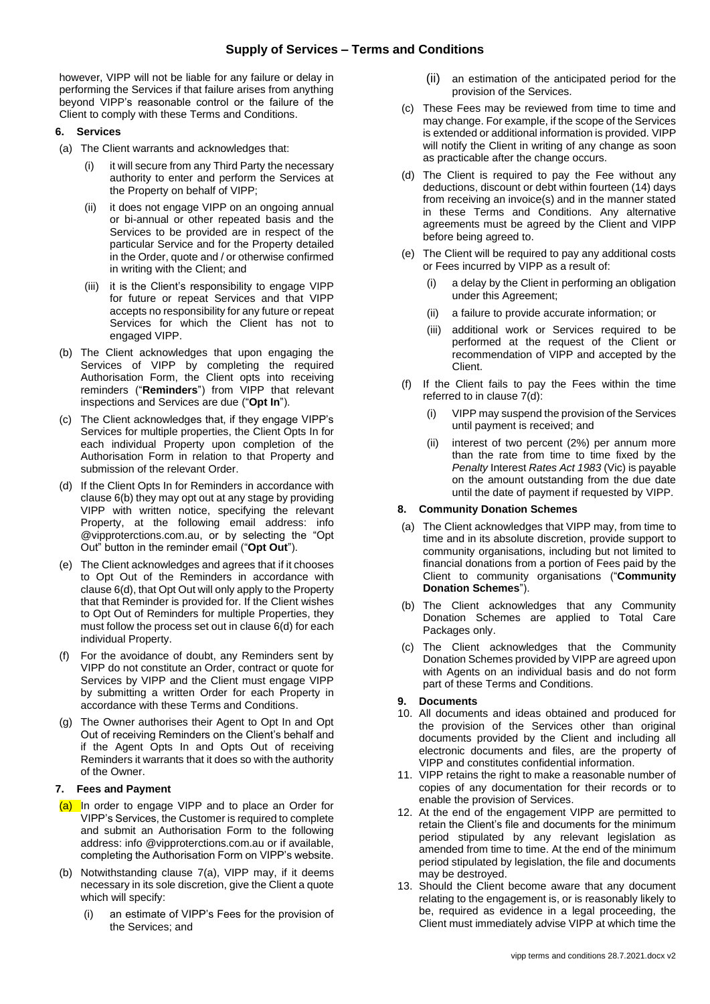however, VIPP will not be liable for any failure or delay in performing the Services if that failure arises from anything beyond VIPP's reasonable control or the failure of the Client to comply with these Terms and Conditions.

## <span id="page-1-0"></span>**6. Services**

- (a) The Client warrants and acknowledges that:
	- it will secure from any Third Party the necessary authority to enter and perform the Services at the Property on behalf of VIPP;
	- (ii) it does not engage VIPP on an ongoing annual or bi-annual or other repeated basis and the Services to be provided are in respect of the particular Service and for the Property detailed in the Order, quote and / or otherwise confirmed in writing with the Client; and
	- (iii) it is the Client's responsibility to engage VIPP for future or repeat Services and that VIPP accepts no responsibility for any future or repeat Services for which the Client has not to engaged VIPP.
- <span id="page-1-1"></span>(b) The Client acknowledges that upon engaging the Services of VIPP by completing the required Authorisation Form, the Client opts into receiving reminders ("**Reminders**") from VIPP that relevant inspections and Services are due ("**Opt In**").
- (c) The Client acknowledges that, if they engage VIPP's Services for multiple properties, the Client Opts In for each individual Property upon completion of the Authorisation Form in relation to that Property and submission of the relevant Order.
- <span id="page-1-2"></span>(d) If the Client Opts In for Reminders in accordance with clause [6](#page-1-0)[\(b\)](#page-1-1) they may opt out at any stage by providing VIPP with written notice, specifying the relevant Property, at the following email address: info @vipproterctions.com.au, or by selecting the "Opt Out" button in the reminder email ("**Opt Out**").
- (e) The Client acknowledges and agrees that if it chooses to Opt Out of the Reminders in accordance with claus[e 6](#page-1-0)[\(d\),](#page-1-2) that Opt Out will only apply to the Property that that Reminder is provided for. If the Client wishes to Opt Out of Reminders for multiple Properties, they must follow the process set out in claus[e 6](#page-1-0)[\(d\)](#page-1-2) for each individual Property.
- (f) For the avoidance of doubt, any Reminders sent by VIPP do not constitute an Order, contract or quote for Services by VIPP and the Client must engage VIPP by submitting a written Order for each Property in accordance with these Terms and Conditions.
- (g) The Owner authorises their Agent to Opt In and Opt Out of receiving Reminders on the Client's behalf and if the Agent Opts In and Opts Out of receiving Reminders it warrants that it does so with the authority of the Owner.

# <span id="page-1-3"></span>**7. Fees and Payment**

- <span id="page-1-4"></span>(a) In order to engage VIPP and to place an Order for VIPP's Services, the Customer is required to complete and submit an Authorisation Form to the following address: info @vipproterctions.com.au or if available, completing the Authorisation Form on VIPP's website.
- (b) Notwithstanding clause [7](#page-1-3)[\(a\),](#page-1-4) VIPP may, if it deems necessary in its sole discretion, give the Client a quote which will specify:
	- (i) an estimate of VIPP's Fees for the provision of the Services; and
- (ii) an estimation of the anticipated period for the provision of the Services.
- (c) These Fees may be reviewed from time to time and may change. For example, if the scope of the Services is extended or additional information is provided. VIPP will notify the Client in writing of any change as soon as practicable after the change occurs.
- (d) The Client is required to pay the Fee without any deductions, discount or debt within fourteen (14) days from receiving an invoice(s) and in the manner stated in these Terms and Conditions. Any alternative agreements must be agreed by the Client and VIPP before being agreed to.
- (e) The Client will be required to pay any additional costs or Fees incurred by VIPP as a result of:
	- a delay by the Client in performing an obligation under this Agreement;
	- (ii) a failure to provide accurate information; or
	- (iii) additional work or Services required to be performed at the request of the Client or recommendation of VIPP and accepted by the Client.
- (f) If the Client fails to pay the Fees within the time referred to in clause 7(d):
	- VIPP may suspend the provision of the Services until payment is received; and
	- (ii) interest of two percent (2%) per annum more than the rate from time to time fixed by the *Penalty* Interest *Rates Act 1983* (Vic) is payable on the amount outstanding from the due date until the date of payment if requested by VIPP.

# **8. Community Donation Schemes**

- (a) The Client acknowledges that VIPP may, from time to time and in its absolute discretion, provide support to community organisations, including but not limited to financial donations from a portion of Fees paid by the Client to community organisations ("**Community Donation Schemes**").
- (b) The Client acknowledges that any Community Donation Schemes are applied to Total Care Packages only.
- (c) The Client acknowledges that the Community Donation Schemes provided by VIPP are agreed upon with Agents on an individual basis and do not form part of these Terms and Conditions.

## **9. Documents**

- 10. All documents and ideas obtained and produced for the provision of the Services other than original documents provided by the Client and including all electronic documents and files, are the property of VIPP and constitutes confidential information.
- 11. VIPP retains the right to make a reasonable number of copies of any documentation for their records or to enable the provision of Services.
- 12. At the end of the engagement VIPP are permitted to retain the Client's file and documents for the minimum period stipulated by any relevant legislation as amended from time to time. At the end of the minimum period stipulated by legislation, the file and documents may be destroyed.
- 13. Should the Client become aware that any document relating to the engagement is, or is reasonably likely to be, required as evidence in a legal proceeding, the Client must immediately advise VIPP at which time the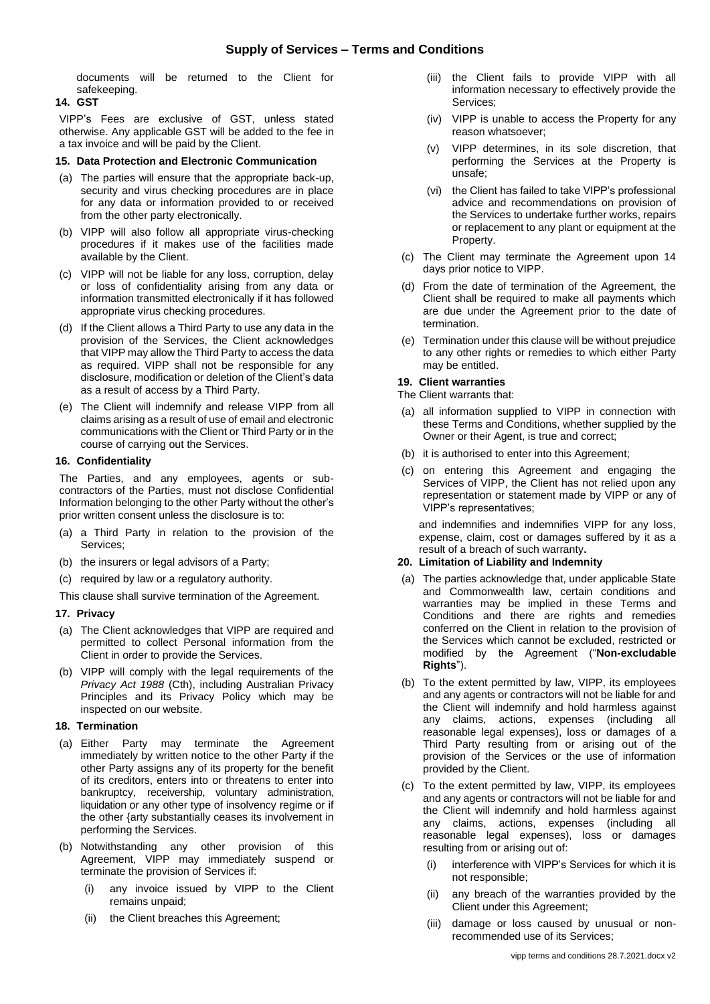documents will be returned to the Client for safekeeping.

# **14. GST**

VIPP's Fees are exclusive of GST, unless stated otherwise. Any applicable GST will be added to the fee in a tax invoice and will be paid by the Client.

### **15. Data Protection and Electronic Communication**

- (a) The parties will ensure that the appropriate back-up, security and virus checking procedures are in place for any data or information provided to or received from the other party electronically.
- (b) VIPP will also follow all appropriate virus-checking procedures if it makes use of the facilities made available by the Client.
- (c) VIPP will not be liable for any loss, corruption, delay or loss of confidentiality arising from any data or information transmitted electronically if it has followed appropriate virus checking procedures.
- (d) If the Client allows a Third Party to use any data in the provision of the Services, the Client acknowledges that VIPP may allow the Third Party to access the data as required. VIPP shall not be responsible for any disclosure, modification or deletion of the Client's data as a result of access by a Third Party.
- (e) The Client will indemnify and release VIPP from all claims arising as a result of use of email and electronic communications with the Client or Third Party or in the course of carrying out the Services.

## **16. Confidentiality**

The Parties, and any employees, agents or subcontractors of the Parties, must not disclose Confidential Information belonging to the other Party without the other's prior written consent unless the disclosure is to:

- (a) a Third Party in relation to the provision of the Services;
- (b) the insurers or legal advisors of a Party;
- (c) required by law or a regulatory authority.

This clause shall survive termination of the Agreement.

# **17. Privacy**

- (a) The Client acknowledges that VIPP are required and permitted to collect Personal information from the Client in order to provide the Services.
- (b) VIPP will comply with the legal requirements of the *Privacy Act 1988* (Cth), including Australian Privacy Principles and its Privacy Policy which may be inspected on our website.

### **18. Termination**

- (a) Either Party may terminate the Agreement immediately by written notice to the other Party if the other Party assigns any of its property for the benefit of its creditors, enters into or threatens to enter into bankruptcy, receivership, voluntary administration, liquidation or any other type of insolvency regime or if the other {arty substantially ceases its involvement in performing the Services.
- (b) Notwithstanding any other provision of this Agreement, VIPP may immediately suspend or terminate the provision of Services if:
	- (i) any invoice issued by VIPP to the Client remains unpaid;
	- (ii) the Client breaches this Agreement;
- (iii) the Client fails to provide VIPP with all information necessary to effectively provide the Services;
- (iv) VIPP is unable to access the Property for any reason whatsoever;
- (v) VIPP determines, in its sole discretion, that performing the Services at the Property is unsafe;
- (vi) the Client has failed to take VIPP's professional advice and recommendations on provision of the Services to undertake further works, repairs or replacement to any plant or equipment at the Property.
- (c) The Client may terminate the Agreement upon 14 days prior notice to VIPP.
- (d) From the date of termination of the Agreement, the Client shall be required to make all payments which are due under the Agreement prior to the date of termination.
- (e) Termination under this clause will be without prejudice to any other rights or remedies to which either Party may be entitled.

## **19. Client warranties**

The Client warrants that:

- (a) all information supplied to VIPP in connection with these Terms and Conditions, whether supplied by the Owner or their Agent, is true and correct;
- (b) it is authorised to enter into this Agreement;
- (c) on entering this Agreement and engaging the Services of VIPP, the Client has not relied upon any representation or statement made by VIPP or any of VIPP's representatives;

and indemnifies and indemnifies VIPP for any loss, expense, claim, cost or damages suffered by it as a result of a breach of such warranty**.**

### **20. Limitation of Liability and Indemnity**

- (a) The parties acknowledge that, under applicable State and Commonwealth law, certain conditions and warranties may be implied in these Terms and Conditions and there are rights and remedies conferred on the Client in relation to the provision of the Services which cannot be excluded, restricted or modified by the Agreement ("**Non-excludable Rights**").
- (b) To the extent permitted by law, VIPP, its employees and any agents or contractors will not be liable for and the Client will indemnify and hold harmless against any claims, actions, expenses (including all reasonable legal expenses), loss or damages of a Third Party resulting from or arising out of the provision of the Services or the use of information provided by the Client.
- (c) To the extent permitted by law, VIPP, its employees and any agents or contractors will not be liable for and the Client will indemnify and hold harmless against any claims, actions, expenses (including all reasonable legal expenses), loss or damages resulting from or arising out of:
	- (i) interference with VIPP's Services for which it is not responsible;
	- (ii) any breach of the warranties provided by the Client under this Agreement;
	- (iii) damage or loss caused by unusual or nonrecommended use of its Services;